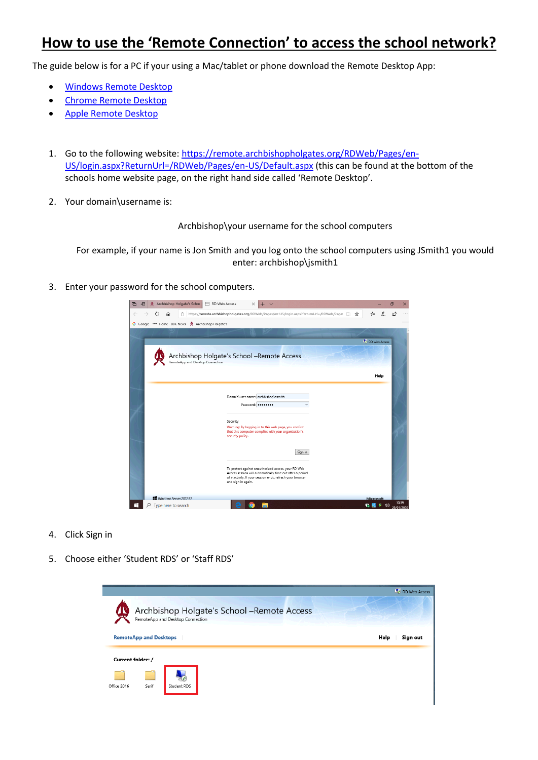## **How to use the 'Remote Connection' to access the school network?**

The guide below is for a PC if your using a Mac/tablet or phone download the Remote Desktop App:

- [Windows Remote Desktop](https://www.microsoft.com/en-gb/p/microsoft-remote-desktop/9wzdncrfj3ps?activetab=pivot:overviewtab)
- [Chrome Remote Desktop](https://chrome.google.com/webstore/detail/chrome-remote-desktop/gbchcmhmhahfdphkhkmpfmihenigjmpp)
- [Apple Remote Desktop](https://apps.apple.com/us/app/microsoft-remote-desktop-10/id1295203466?mt=12)
- 1. Go to the following website: [https://remote.archbishopholgates.org/RDWeb/Pages/en-](https://remote.archbishopholgates.org/RDWeb/Pages/en-US/login.aspx?ReturnUrl=/RDWeb/Pages/en-US/Default.aspx)[US/login.aspx?ReturnUrl=/RDWeb/Pages/en-US/Default.aspx](https://remote.archbishopholgates.org/RDWeb/Pages/en-US/login.aspx?ReturnUrl=/RDWeb/Pages/en-US/Default.aspx) (this can be found at the bottom of the schools home website page, on the right hand side called 'Remote Desktop'.
- 2. Your domain\username is:

Archbishop\your username for the school computers

For example, if your name is Jon Smith and you log onto the school computers using JSmith1 you would enter: archbishop\jsmith1

3. Enter your password for the school computers.

| Archbishop Holgate's Schoc<br>RD Web Access<br>后<br>÷П        | $\times$<br>$\checkmark$                                                                                               |               | m<br>$\times$        |
|---------------------------------------------------------------|------------------------------------------------------------------------------------------------------------------------|---------------|----------------------|
| ⋒<br>â                                                        | https://remote.archbishopholgates.org/RDWeb/Pages/en-US/login.aspx?ReturnUrl=/RDWeb/Page: [1]<br>☆                     | ☆             | $\overrightarrow{P}$ |
| mm Home - BBC News<br>Archbishop Holgate's<br><b>G</b> Google |                                                                                                                        |               |                      |
|                                                               |                                                                                                                        |               |                      |
|                                                               |                                                                                                                        | RD Web Access |                      |
|                                                               |                                                                                                                        |               |                      |
| RemoteApp and Desktop Connection                              | Archbishop Holgate's School -Remote Access                                                                             |               |                      |
|                                                               |                                                                                                                        |               |                      |
|                                                               |                                                                                                                        | Help          |                      |
|                                                               |                                                                                                                        |               |                      |
|                                                               | Domain\user name: archbishop\asmith                                                                                    |               |                      |
|                                                               | Password: <b></b><br>a.                                                                                                |               |                      |
|                                                               |                                                                                                                        |               |                      |
|                                                               | Security                                                                                                               |               |                      |
|                                                               | Warning: By logging in to this web page, you confirm<br>that this computer complies with your organization's           |               |                      |
|                                                               | security policy.                                                                                                       |               |                      |
|                                                               | Sign in                                                                                                                |               |                      |
|                                                               |                                                                                                                        |               |                      |
|                                                               | To protect against unauthorized access, your RD Web                                                                    |               |                      |
|                                                               | Access session will automatically time out after a period<br>of inactivity. If your session ends, refresh your browser |               |                      |
|                                                               | and sign in again.                                                                                                     |               |                      |
|                                                               |                                                                                                                        |               |                      |
| Windows Server 2012 R2                                        |                                                                                                                        | Microsoft     | 10:39                |
| Ŧ<br>Type here to search                                      |                                                                                                                        | d»            | 29/01/2020           |

- 4. Click Sign in
- 5. Choose either 'Student RDS' or 'Staff RDS'

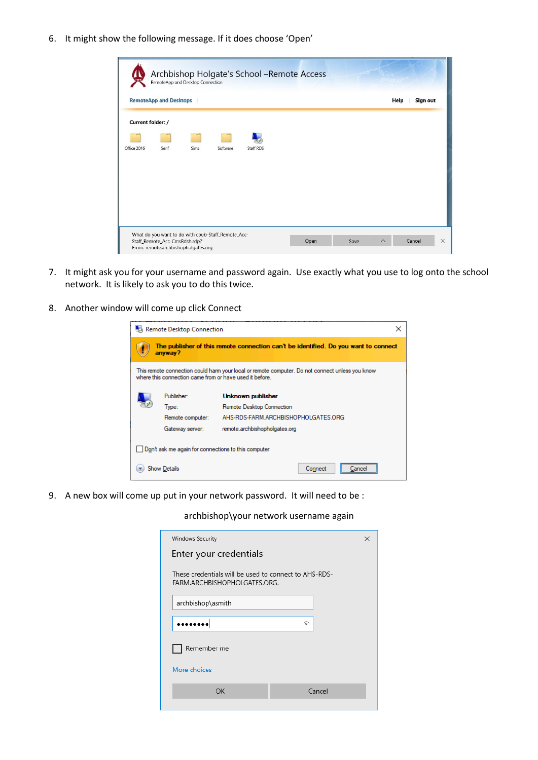6. It might show the following message. If it does choose 'Open'

|                   | <b>RemoteApp and Desktops</b> |      |          |           |  | Help | Sign out |
|-------------------|-------------------------------|------|----------|-----------|--|------|----------|
| Current folder: / |                               |      |          |           |  |      |          |
|                   |                               |      |          |           |  |      |          |
| Office 2016       | Serif                         | Sims | Software | Staff RDS |  |      |          |
|                   |                               |      |          |           |  |      |          |
|                   |                               |      |          |           |  |      |          |
|                   |                               |      |          |           |  |      |          |
|                   |                               |      |          |           |  |      |          |
|                   |                               |      |          |           |  |      |          |

- 7. It might ask you for your username and password again. Use exactly what you use to log onto the school network. It is likely to ask you to do this twice.
- 8. Another window will come up click Connect

| Remote Desktop Connection<br>×                                                                                                                             |                  |                                     |  |  |
|------------------------------------------------------------------------------------------------------------------------------------------------------------|------------------|-------------------------------------|--|--|
| The publisher of this remote connection can't be identified. Do you want to connect<br>anyway?                                                             |                  |                                     |  |  |
| This remote connection could harm your local or remote computer. Do not connect unless you know<br>where this connection came from or have used it before. |                  |                                     |  |  |
|                                                                                                                                                            | Publisher:       | Unknown publisher                   |  |  |
|                                                                                                                                                            | Type:            | Remote Desktop Connection           |  |  |
|                                                                                                                                                            | Remote computer: | AHS-RDS-FARM ARCHBISHOPHOLGATES ORG |  |  |
|                                                                                                                                                            | Gateway server:  | remote.archbishopholgates.org       |  |  |
| Don't ask me again for connections to this computer                                                                                                        |                  |                                     |  |  |
| Show Details<br>Connect                                                                                                                                    |                  |                                     |  |  |

9. A new box will come up put in your network password. It will need to be :

archbishop\your network username again

| Windows Security<br>×                                                                 |        |  |  |  |
|---------------------------------------------------------------------------------------|--------|--|--|--|
| Enter your credentials                                                                |        |  |  |  |
| These credentials will be used to connect to AHS-RDS-<br>FARM.ARCHBISHOPHOLGATES.ORG. |        |  |  |  |
| archbishop\asmith                                                                     |        |  |  |  |
| ⋒                                                                                     |        |  |  |  |
| Remember me                                                                           |        |  |  |  |
| More choices                                                                          |        |  |  |  |
| ОК                                                                                    | Cancel |  |  |  |
|                                                                                       |        |  |  |  |